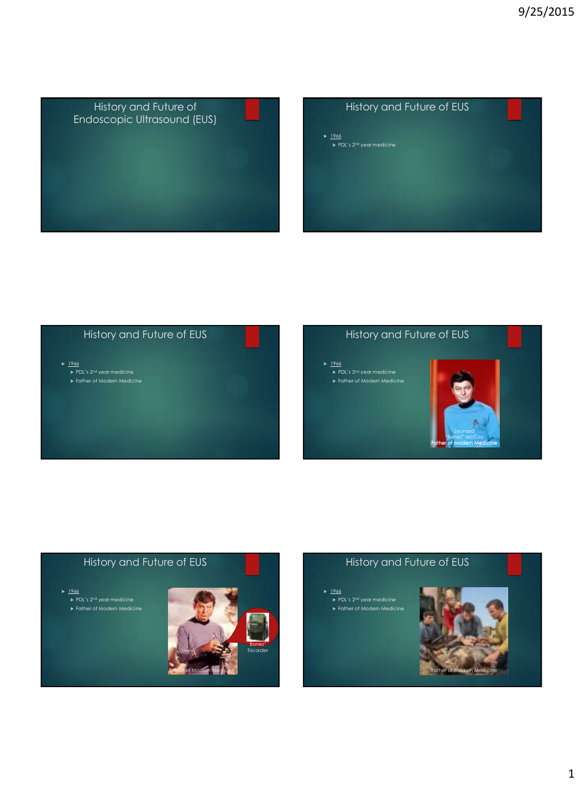

# → <u>1966</u><br>PDL's 2<sup>nd</sup> year medicine → History and Future of EUS



#### History and Future of EUS

- $1966$ ▶ PDL's 2<sup>nd</sup> year medicine<br>▶ Father of Modern Medicine
- 



#### History and Future of EUS

 $1966$ **► PDL's 2<sup>nd</sup> year medicine** 

## Father of Modern Medicine Bones' **Tricorder**

#### History and Future of EUS

 1966 **► PDL's 2<sup>nd</sup> year medicine** 

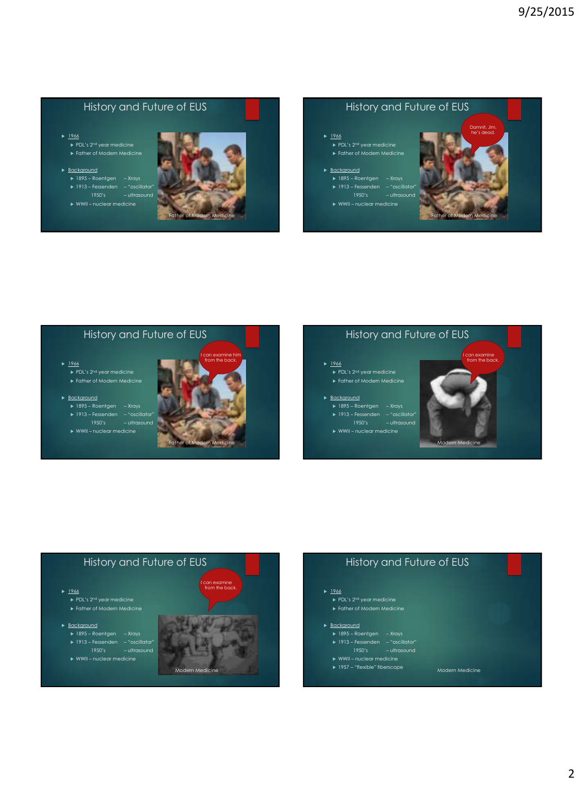- $1966$  $\overline{\mathsf{P}}$  PDL's 2<sup>nd</sup> year medicine
- **Background** 1895 – Roentgen – Xrays 1913 – Fessenden – "oscillator"



#### History and Future of EUS

 $1966$  $\overline{\mathsf{P}}$  PDL's 2<sup>nd</sup> vear medicine Father of Modern Medicine

**Background** 1895 – Roentgen – Xrays 1913 – Fessenden – "oscillator"





#### History and Future of EUS

 $1966$ ▶ PDL's 2<sup>nd</sup> year medicine<br>▶ Father of Modern Medicine

**Background** 1913 – Fessenden – "oscillator" 1950's – ultrasound

 $1966$ 

**Background** 



#### History and Future of EUS

- $1966$
- ▶ PDL's 2<sup>nd</sup> year medicine<br>▶ Father of Modern Medicine
- **Background** 1913 – Fessenden – "oscillator" 1950's – ultrasound
- 





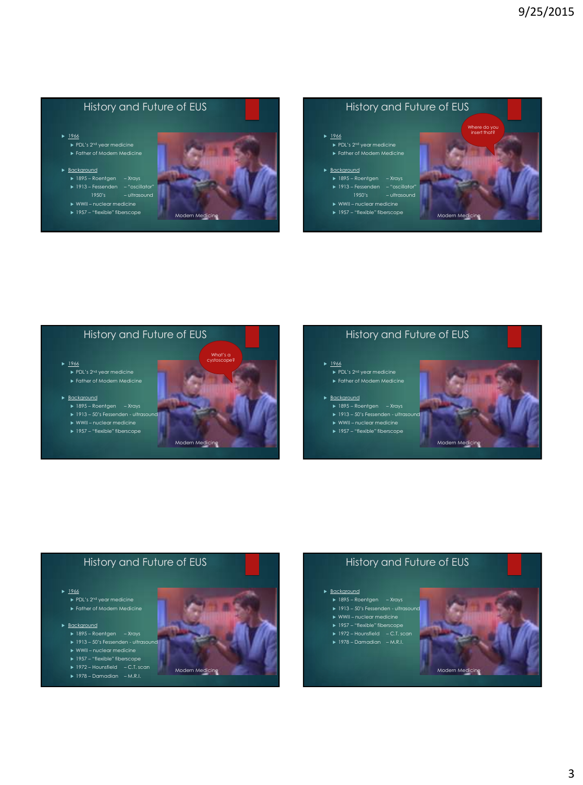$1966$  $\overline{\phantom{a}}$  PDL's 2<sup>nd</sup> year medicine Father of Modern Medicine

#### **Background**

1895 – Roentgen – Xrays 1913 – Fessenden – "oscillator"

1957 – "flexible" fiberscope



#### History and Future of EUS

 $1966$  $\overline{\phantom{a}}$  PDL's 2<sup>nd</sup> vear medicine Father of Modern Medicine

#### **Background**

1895 – Roentgen – Xrays 1913 – Fessenden – "oscillator"

- 
- 1957 "flexible" fiberscope



#### History and Future of EUS

- $1966$ 
	- Father of Modern Medicine

#### **Background**

- 1895 Roentgen Xrays
- WWII nuclear medicine
- ▶ 1957 "flexible" fiberscope

# Modern Medicine cystoscope?

#### History and Future of EUS

#### $1966$

▶ PDL's 2<sup>nd</sup> year medicine<br>▶ Father of Modern Medicine

#### **Background**

- 1895 Roentgen Xrays
- 
- WWII nuclear medicine
- ▶ 1957 "flexible" fiberscope



#### History and Future of EUS

#### $1966$

Father of Modern Medicine

#### **Background**

- 1895 Roentgen Xrays 1913 50's Fessenden ultrasound
- 
- ► 1957 "flexible" fiberscope
- 
- 1972 Hounsfield C.T. scan 1978 Damadian M.R.I.



#### History and Future of EUS

#### **Background**

- 1895 Roentgen Xrays
- 
- 
- 
- 1972 Hounsfield C.T. scan 1978 Damadian M.R.I.
	-

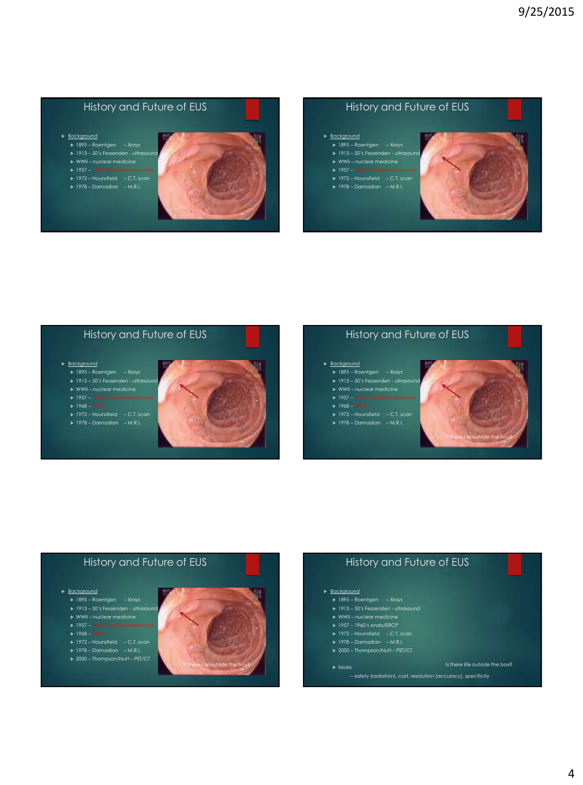- **Background** 
	- $\overline{\smash{\triangleright}}$  1895 Roentgen Xrays
	-
	-
	- 1972 Hounsfield C.T. scan 1978 Damadian M.R.I.
	-



Modern Medicine

Modern Medicine Is there life outside the box?

#### History and Future of EUS



#### History and Future of EUS

#### **Background**

- 1895 Roentgen Xrays 1913 50's Fessenden ultrasound
- 
- 
- 
- 
- 1972 Hounsfield C.T. scan 1978 Damadian M.R.I.

#### History and Future of EUS

#### **Background**

- 1895 Roentgen Xrays 1913 50's Fessenden ultrasound
- 
- 
- 
- 
- 1972 Hounsfield C.T. scan 1978 Damadian M.R.I.
- 

#### History and Future of EUS

#### **Background**

- 1895 Roentgen Xrays
- 
- WWII nuclear medicine
- 
- 
- 
- 



#### **Background**

- 1895 Roentgen Xrays
- 1913 50's Fessenden ultrasound WWII nuclear medicine
- 
- 
- 1972 Hounsfield C.T. scan 1978 Damadian M.R.I.
- 
- 

#### Is there life outside the box?

Modern Medicine Is there life outside the box?

– safety (radiation), cost, resolution (accuracy), specificity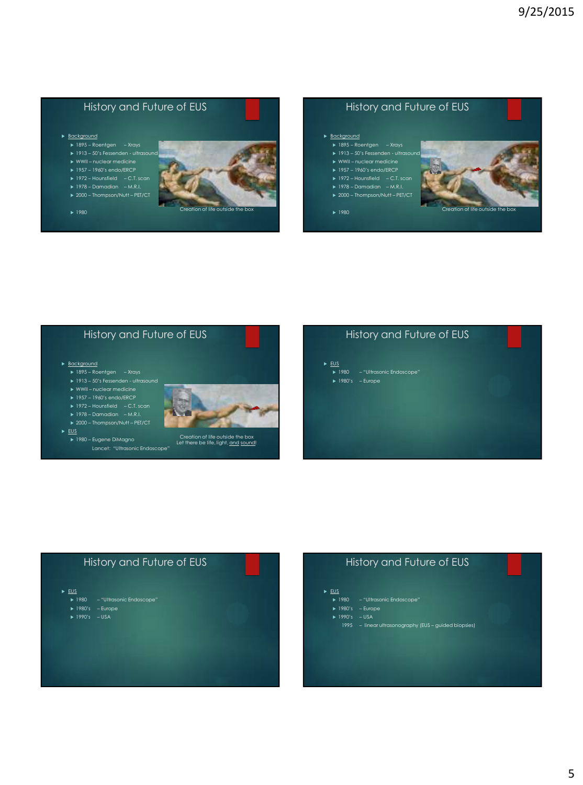#### **Background**

- $\overline{\smash{\triangleright}}$  1895 Roentgen Xrays
- WWII nuclear medicine
- 
- 
- 1972 Hounsfield C.T. scan 1978 Damadian M.R.I.
- 
- 



#### History and Future of EUS

#### **Background**

- $\overline{\smash{\triangleright}}$  1895 Roentgen Xrays
- 
- 
- 
- 1972 Hounsfield C.T. scan 1978 Damadian M.R.I.
- 



#### History and Future of EUS

#### **Background**

- 1895 Roentgen Xrays 1913 50's Fessenden ultrasound
- 
- 
- 
- 
- ▶ 1972 Hounsfield C.T. scan<br>▶ 1978 Damadian M.R.I.<br>▶ 2000 Thompson/Nutt PET/CT



 1980 – Eugene DiMagno Lancet: "Ultrasonic Endoscope"

## Creation of life outside the box<br>Let there be life, light, <u>and sound</u>!

#### History and Future of EUS

- $\triangleright$  EUS
- 1980 "Ultrasonic Endoscope" 1980's Europe

#### History and Future of EUS

- $\triangleright$  <u>EUS</u>
- ▶ 1980 "Ultrasonic Endoscope"<br>▶ 1980's Europe<br>▶ 1990's USA
- 
- 

### History and Future of EUS

#### $\triangleright$  EUS

- ▶ 1980 "Ultrasonic Endoscope"<br>▶ 1980's Europe<br>▶ 1990's USA
- 
- - 1995 linear ultrasonography (EUS guided biopsies)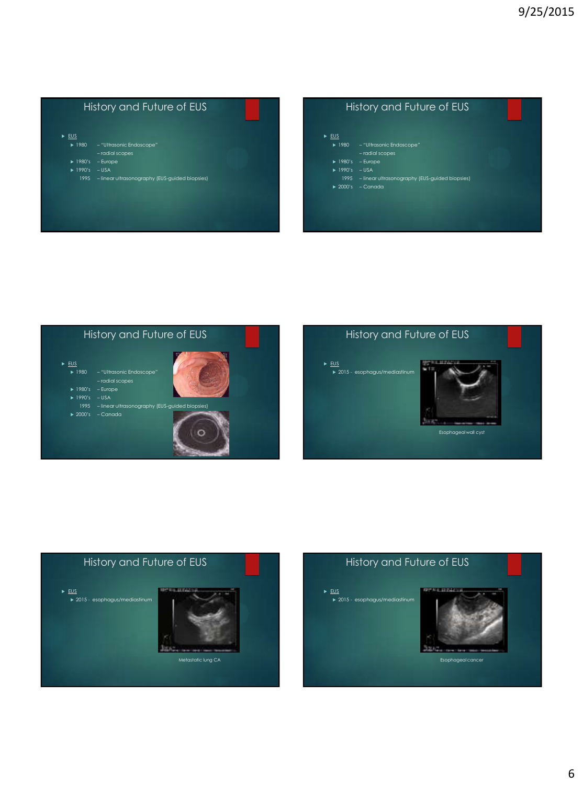## $\triangleright$  <u>EUS</u> —<br>1980 — "Ultrasonic Endoscope" – radial scopes 1980's – Europe 1990's – USA 1995 – linear ultrasonography (EUS-guided biopsies) History and Future of EUS









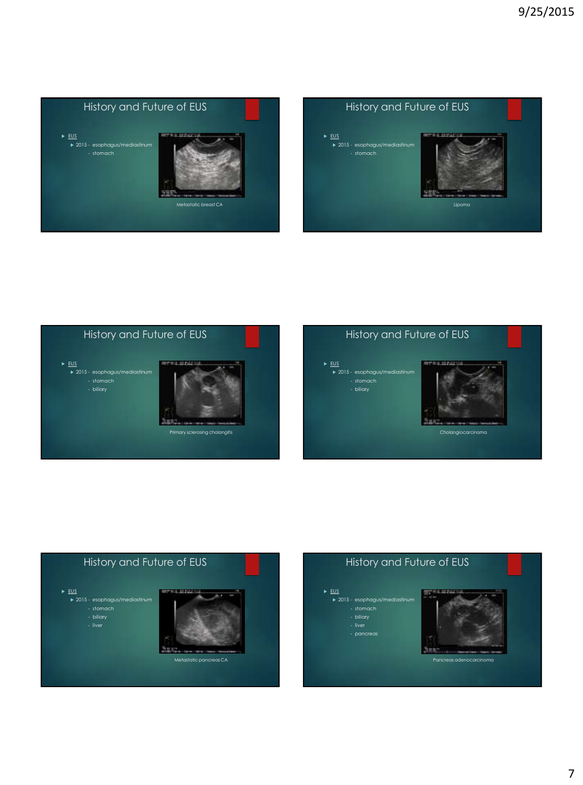









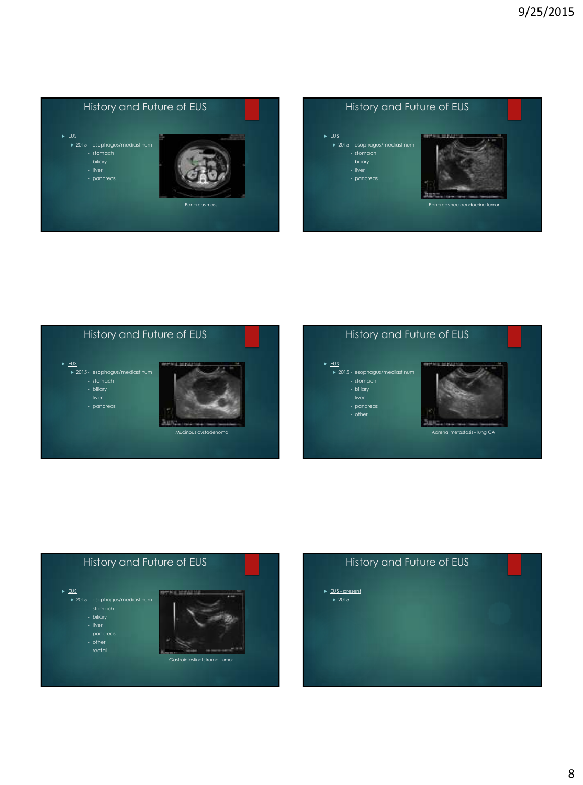









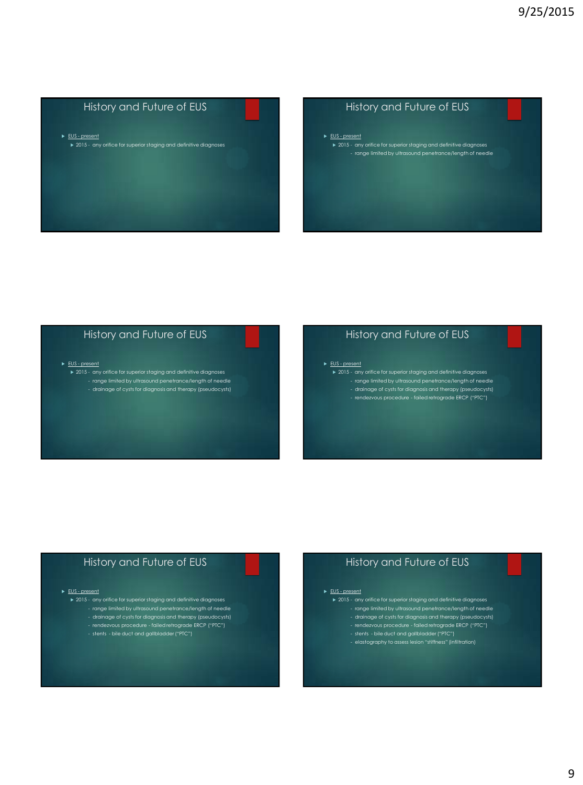► EUS - present

 $\rightarrow$  2015 - any orifice for superior staging and definitive diagnoses

#### History and Future of EUS

► EUS - present

 $\overline{\phantom{a}}$   $\overline{\phantom{a}}$  2015 - any orifice for superior staging and definitive diagnoses - range limited by ultrasound penetrance/length of needle

#### History and Future of EUS

#### ► EUS - present

 2015 - any orifice for superior staging and definitive diagnoses - range limited by ultrasound penetrance/length of needle - drainage of cysts for diagnosis and therapy (pseudocysts)

#### History and Future of EUS

#### ► EUS - present

- 2015 any orifice for superior staging and definitive diagnoses range limited by ultrasound penetrance/length of needle
	-
	- drainage of cysts for diagnosis and therapy (pseudocysts) rendezvous procedure failed retrograde ERCP ("PTC")

#### History and Future of EUS

#### ► EUS - present

 2015 - any orifice for superior staging and definitive diagnoses - range limited by ultrasound penetrance/length of needle - drainage of cysts for diagnosis and therapy (pseudocysts) - rendezvous procedure - failed retrograde ERCP ("PTC")

#### History and Future of EUS

#### ► EUS - present

- 2015 any orifice for superior staging and definitive diagnoses
	- range limited by ultrasound penetrance/length of needle<br>- drainage of cysts for diagnosis and therapy (pseudocysts)<br>- rendezvous procedure failed retrograde ERCP ("PTC")<br>- stents bile duct and gallbladder ("PTC")<br>- e
	-
	-
	-
	-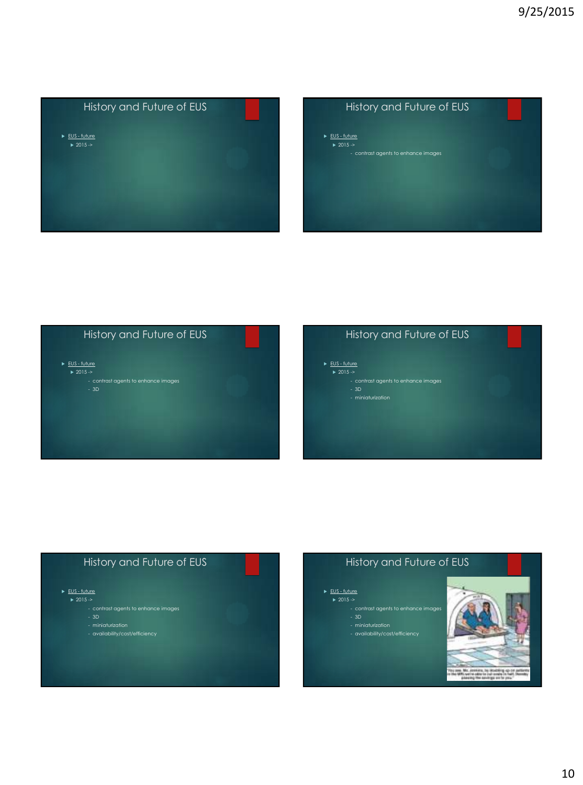

- ► EUS future  $\blacktriangleright$  2015  $\blacktriangleright$
- 



#### History and Future of EUS

- ► EUS future  $\overline{\triangleright}$  2015 ->
	-
	- contrast agents to enhance images 3D miniaturization
		-

### History and Future of EUS

- ► EUS future
	-
	- contrast agents to enhance images 3D
	-
	- miniaturization availability/cost/efficiency

## History and Future of EUS

- ► EUS future
- 
- contrast agents to enhance images 3D
	- miniaturization availability/cost/efficiency
	-

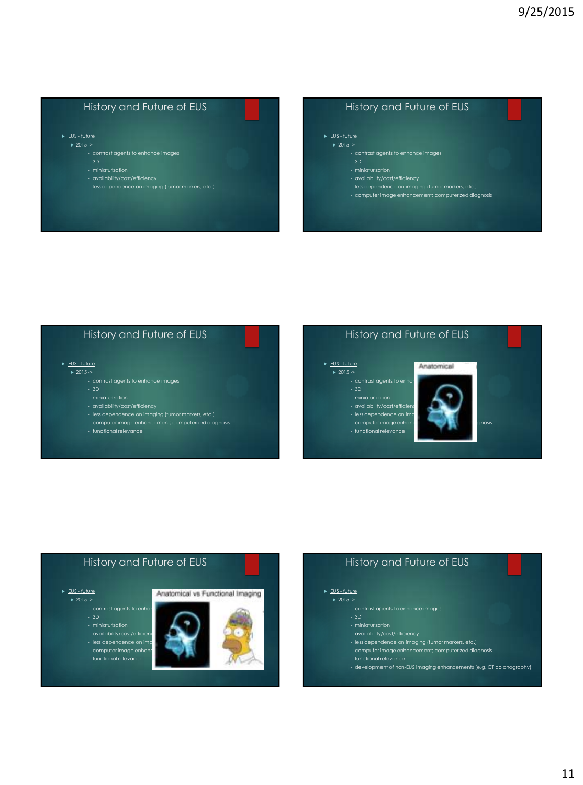► EUS - future  $\sqrt{2015 - 8}$ 

- 
- 3D
- 
- 
- availability/cost/efficiency less dependence on imaging (tumor markers, etc.)

#### History and Future of EUS

#### ► EUS - future  $\rightarrow$  2015  $\rightarrow$

- 
- 
- 
- availability/cost/efficiency less dependence on imaging (tumor markers, etc.)
- computer image enhancement; computerized diagnosis

#### History and Future of EUS

#### ► EUS - future

- $\blacktriangleright$  2015  $\triangleright$ 
	- contrast agents to enhance images
	-
	-
	- availability/cost/efficiency
	- less dependence on imaging (tumor markers, etc.) computer image enhancement; computerized diagnosis
	-

#### History and Future of EUS

Anatomical

#### ► EUS - future

- $\blacktriangleright$  2015  $\triangleright$
- 
- 
- 
- 
- computer image enhancement
- 





#### History and Future of EUS

- -
	-
	- computer image enhancement; computerized diagnosis
	- development of non-EUS imaging enhancements (e.g. CT colonography)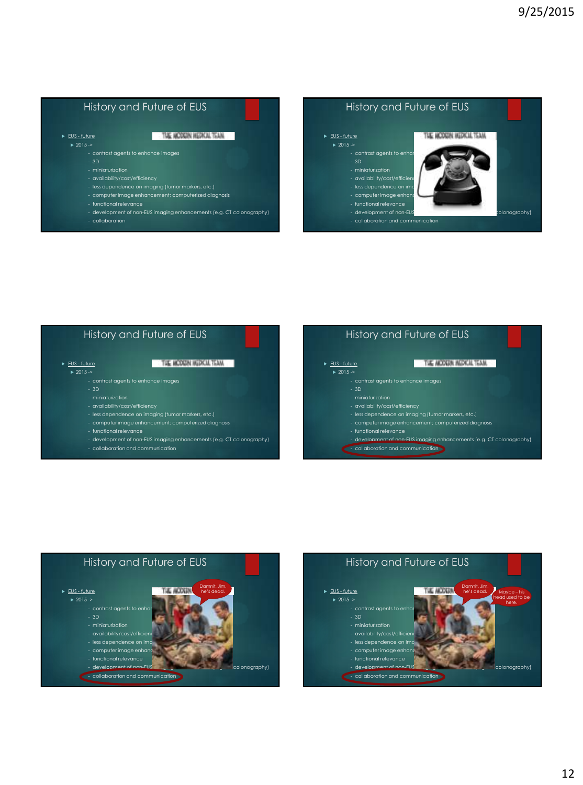#### History and Future of EUS History and Future of EUS THE MODGIN HEDKIA TEAM ► EUS - future ► EUS - future THE MCDGIN HEDICAL TEAM  $\geq 2015 \geq$  $\ge 2015 \ge$ - contrast agents to enha - 3D - 3D - availability/cost/efficiency - less dependence on imaging (tumor markers, etc.) - less dependence on in<br>Iess dependence on in - computer image enhancement; computerized diagnosis - computer image enha - functional relevance - functional relevance - development of non-EUS imaging enhancements (e.g. CT colonography) - development of non-EUS imaging enhancements (e.g. Colonography) - collaboration - collaboration and communication





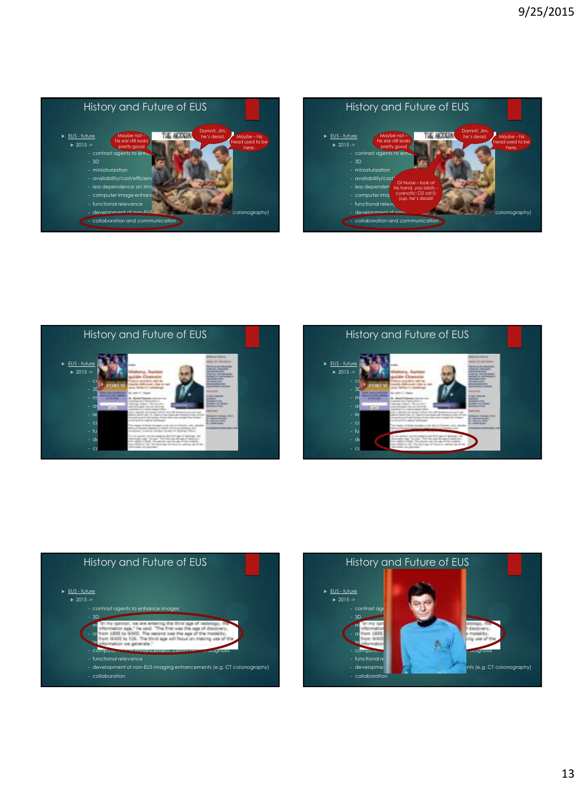